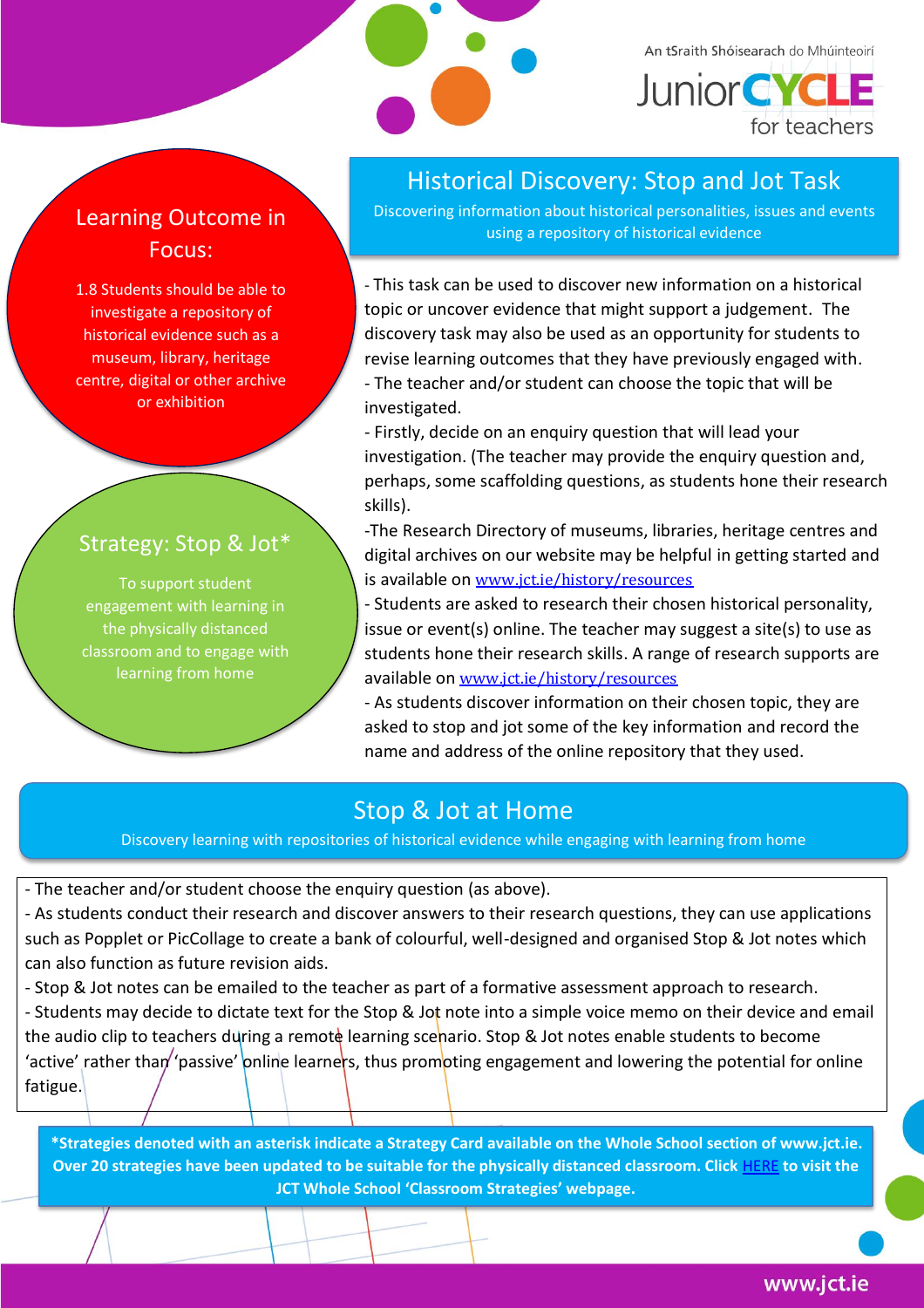

An tSraith Shóisearach do Mhúinteoirí **Junior CYCLE** 

for teachers

### Learning Outcome in Focus:

1.8 Students should be able to investigate a repository of historical evidence such as a museum, library, heritage centre, digital or other archive or exhibition

### Strategy: Stop & Jot\*

To support student engagement with learning in the physically distanced classroom and to engage with learning from home

## Historical Discovery: Stop and Jot Task

Discovering information about historical personalities, issues and events using a repository of historical evidence

- This task can be used to discover new information on a historical topic or uncover evidence that might support a judgement. The discovery task may also be used as an opportunity for students to revise learning outcomes that they have previously engaged with. - The teacher and/or student can choose the topic that will be investigated.

- Firstly, decide on an enquiry question that will lead your investigation. (The teacher may provide the enquiry question and, perhaps, some scaffolding questions, as students hone their research skills).

-The Research Directory of museums, libraries, heritage centres and digital archives on our website may be helpful in getting started and is available on [www.jct.ie/history/resources](http://www.jct.ie/history/resources)

- Students are asked to research their chosen historical personality, issue or event(s) online. The teacher may suggest a site(s) to use as students hone their research skills. A range of research supports are available on [www.jct.ie/history/resources](http://www.jct.ie/history/resources)

- As students discover information on their chosen topic, they are asked to stop and jot some of the key information and record the name and address of the online repository that they used.

# Stop & Jot at Home

Discovery learning with repositories of historical evidence while engaging with learning from home

- The teacher and/or student choose the enquiry question (as above).

- As students conduct their research and discover answers to their research questions, they can use applications such as Popplet or PicCollage to create a bank of colourful, well-designed and organised Stop & Jot notes which can also function as future revision aids.

- Stop & Jot notes can be emailed to the teacher as part of a formative assessment approach to research.

- Students may decide to dictate text for the Stop & Jot note into a simple voice memo on their device and email the audio clip to teachers during a remote learning scenario. Stop & Jot notes enable students to become 'active' rather than' 'passive' online learners, thus promoting engagement and lowering the potential for online fatigue.

**\*Strategies denoted with an asterisk indicate a Strategy Card available on the Whole School section of www.jct.ie. Over 20 strategies have been updated to be suitable for the physically distanced classroom. Click** [HERE](https://www.jct.ie/wholeschool/classroom_strategies) **to visit the JCT Whole School 'Classroom Strategies' webpage.**

www.jct.ie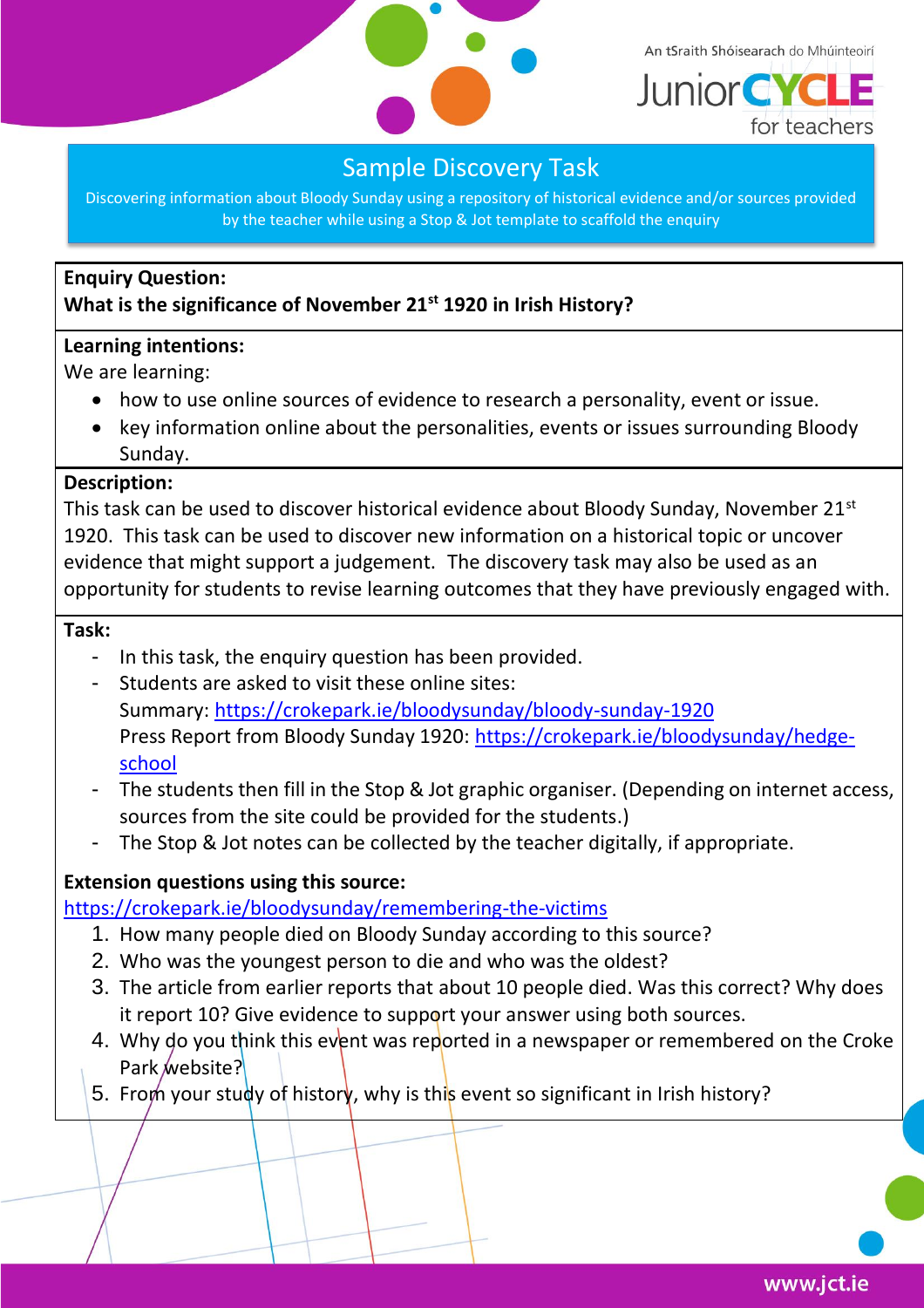

An tSraith Shóisearach do Mhúinteoirí



### Sample Discovery Task

Discovering information about Bloody Sunday using a repository of historical evidence and/or sources provided by the teacher while using a Stop & Jot template to scaffold the enquiry

#### **Enquiry Question: What is the significance of November 21st 1920 in Irish History?**

#### **Learning intentions:**

We are learning:

- how to use online sources of evidence to research a personality, event or issue.
- key information online about the personalities, events or issues surrounding Bloody Sunday.

#### **Description:**

This task can be used to discover historical evidence about Bloody Sunday, November 21<sup>st</sup> 1920. This task can be used to discover new information on a historical topic or uncover evidence that might support a judgement. The discovery task may also be used as an opportunity for students to revise learning outcomes that they have previously engaged with.

#### **Task:**

- In this task, the enquiry question has been provided.
- Students are asked to visit these online sites: Summary:<https://crokepark.ie/bloodysunday/bloody-sunday-1920> Press Report from Bloody Sunday 1920: [https://crokepark.ie/bloodysunday/hedge](https://crokepark.ie/bloodysunday/hedge-school)[school](https://crokepark.ie/bloodysunday/hedge-school)
- The students then fill in the Stop & Jot graphic organiser. (Depending on internet access, sources from the site could be provided for the students.)
- The Stop & Jot notes can be collected by the teacher digitally, if appropriate.

#### **Extension questions using this source:**

<https://crokepark.ie/bloodysunday/remembering-the-victims>

- 1. How many people died on Bloody Sunday according to this source?
- 2. Who was the youngest person to die and who was the oldest?
- 3. The article from earlier reports that about 10 people died. Was this correct? Why does it report 10? Give evidence to support your answer using both sources.
- 4. Why do you think this event was reported in a newspaper or remembered on the Croke Park website?
- 5. From your study of history, why is this event so significant in Irish history?